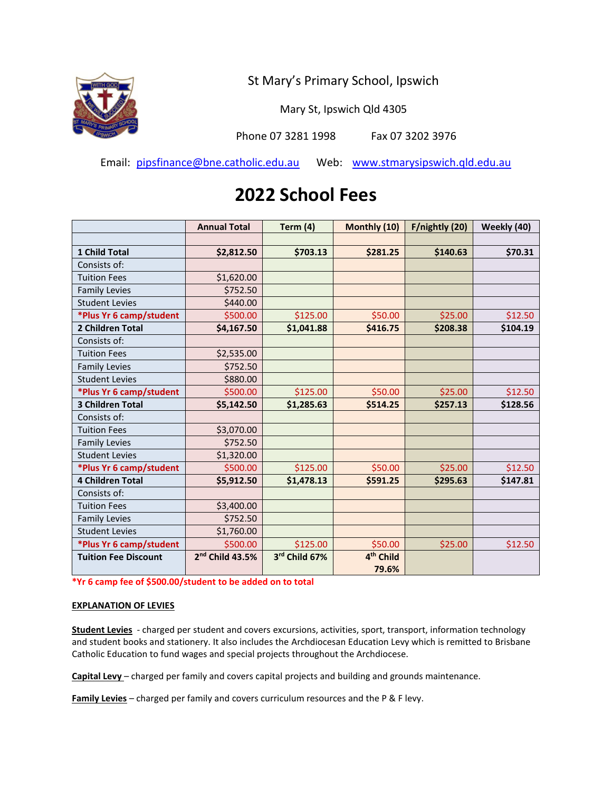

Mary St, Ipswich Qld 4305

Phone 07 3281 1998 Fax 07 3202 3976

Email: pipsfinance@bne.catholic.edu.au Web: www.stmarysipswich.qld.edu.au

## **2022 School Fees**

|                             | <b>Annual Total</b>         | Term $(4)$    | Monthly (10)          | F/nightly (20) | Weekly (40) |
|-----------------------------|-----------------------------|---------------|-----------------------|----------------|-------------|
|                             |                             |               |                       |                |             |
| <b>1 Child Total</b>        | \$2,812.50                  | \$703.13      | \$281.25              | \$140.63       | \$70.31     |
| Consists of:                |                             |               |                       |                |             |
| <b>Tuition Fees</b>         | \$1,620.00                  |               |                       |                |             |
| <b>Family Levies</b>        | \$752.50                    |               |                       |                |             |
| <b>Student Levies</b>       | \$440.00                    |               |                       |                |             |
| *Plus Yr 6 camp/student     | \$500.00                    | \$125.00      | \$50.00               | \$25.00        | \$12.50     |
| 2 Children Total            | \$4,167.50                  | \$1,041.88    | \$416.75              | \$208.38       | \$104.19    |
| Consists of:                |                             |               |                       |                |             |
| <b>Tuition Fees</b>         | \$2,535.00                  |               |                       |                |             |
| <b>Family Levies</b>        | \$752.50                    |               |                       |                |             |
| <b>Student Levies</b>       | \$880.00                    |               |                       |                |             |
| *Plus Yr 6 camp/student     | \$500.00                    | \$125.00      | \$50.00               | \$25.00        | \$12.50     |
| 3 Children Total            | \$5,142.50                  | \$1,285.63    | \$514.25              | \$257.13       | \$128.56    |
| Consists of:                |                             |               |                       |                |             |
| <b>Tuition Fees</b>         | \$3,070.00                  |               |                       |                |             |
| <b>Family Levies</b>        | \$752.50                    |               |                       |                |             |
| <b>Student Levies</b>       | \$1,320.00                  |               |                       |                |             |
| *Plus Yr 6 camp/student     | \$500.00                    | \$125.00      | \$50.00               | \$25.00        | \$12.50     |
| <b>4 Children Total</b>     | \$5,912.50                  | \$1,478.13    | \$591.25              | \$295.63       | \$147.81    |
| Consists of:                |                             |               |                       |                |             |
| <b>Tuition Fees</b>         | \$3,400.00                  |               |                       |                |             |
| <b>Family Levies</b>        | \$752.50                    |               |                       |                |             |
| <b>Student Levies</b>       | \$1,760.00                  |               |                       |                |             |
| *Plus Yr 6 camp/student     | \$500.00                    | \$125.00      | \$50.00               | \$25.00        | \$12.50     |
| <b>Tuition Fee Discount</b> | 2 <sup>nd</sup> Child 43.5% | 3rd Child 67% | 4 <sup>th</sup> Child |                |             |
|                             |                             |               | 79.6%                 |                |             |

**\*Yr 6 camp fee of \$500.00/student to be added on to total**

## **EXPLANATION OF LEVIES**

**Student Levies** - charged per student and covers excursions, activities, sport, transport, information technology and student books and stationery. It also includes the Archdiocesan Education Levy which is remitted to Brisbane Catholic Education to fund wages and special projects throughout the Archdiocese.

**Capital Levy** – charged per family and covers capital projects and building and grounds maintenance.

**Family Levies** – charged per family and covers curriculum resources and the P & F levy.